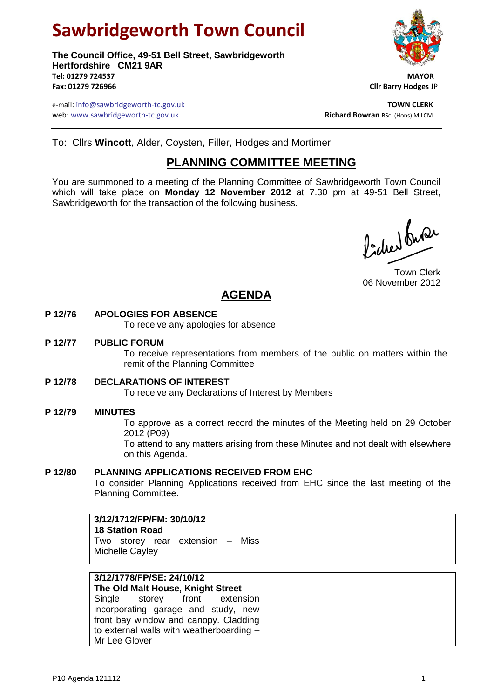# **Sawbridgeworth Town Council**

**The Council Office, 49-51 Bell Street, Sawbridgeworth Hertfordshire CM21 9AR Tel: 01279 724537 MAYOR Fax: 01279 726966 Cllr Barry Hodges** JP

e-mail: info@sawbridgeworth-tc.gov.uk **TOWN CLERK** web: www.sawbridgeworth-tc.gov.uk<br> **Richard Bowran** BSc. (Hons) MILCM

To: Cllrs **Wincott**, Alder, Coysten, Filler, Hodges and Mortimer

## **PLANNING COMMITTEE MEETING**

You are summoned to a meeting of the Planning Committee of Sawbridgeworth Town Council which will take place on **Monday 12 November 2012** at 7.30 pm at 49-51 Bell Street, Sawbridgeworth for the transaction of the following business.

Picked fune

Town Clerk 06 November 2012

# **AGENDA**

### **P 12/76 APOLOGIES FOR ABSENCE**

To receive any apologies for absence

#### **P 12/77 PUBLIC FORUM**

To receive representations from members of the public on matters within the remit of the Planning Committee

#### **P 12/78 DECLARATIONS OF INTEREST**

To receive any Declarations of Interest by Members

#### **P 12/79 MINUTES**

To approve as a correct record the minutes of the Meeting held on 29 October 2012 (P09)

To attend to any matters arising from these Minutes and not dealt with elsewhere on this Agenda.

#### **P 12/80 PLANNING APPLICATIONS RECEIVED FROM EHC**

To consider Planning Applications received from EHC since the last meeting of the Planning Committee.

| 3/12/1712/FP/FM: 30/10/12<br><b>18 Station Road</b><br>Two storey rear extension - Miss<br>Michelle Cayley                                                                                                                                   |  |
|----------------------------------------------------------------------------------------------------------------------------------------------------------------------------------------------------------------------------------------------|--|
| 3/12/1778/FP/SE: 24/10/12<br>The Old Malt House, Knight Street<br>Single storey front extension<br>incorporating garage and study, new<br>front bay window and canopy. Cladding<br>to external walls with weatherboarding -<br>Mr Lee Glover |  |